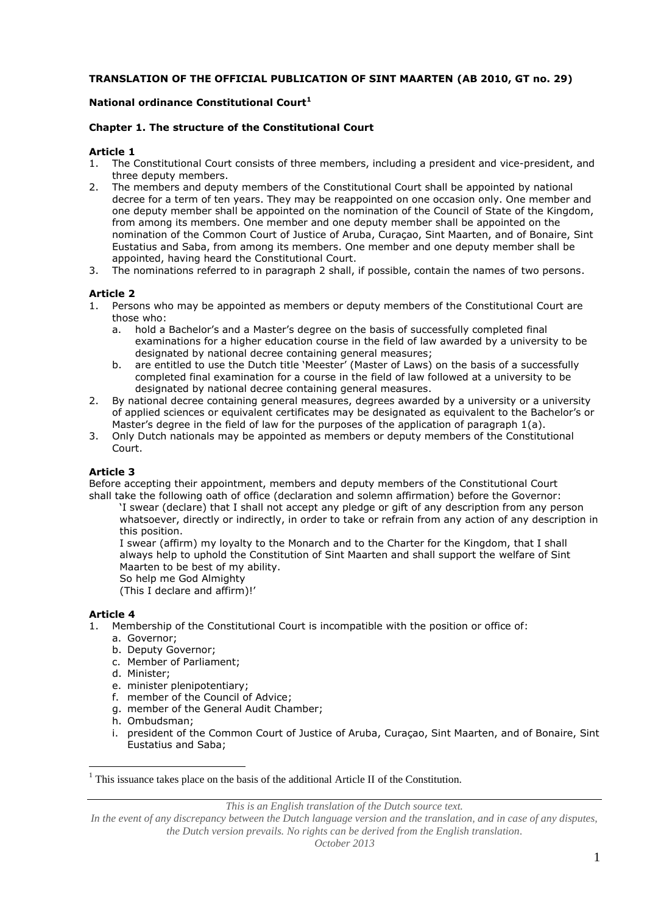# **TRANSLATION OF THE OFFICIAL PUBLICATION OF SINT MAARTEN (AB 2010, GT no. 29)**

# **National ordinance Constitutional Court<sup>1</sup>**

# **Chapter 1. The structure of the Constitutional Court**

## **Article 1**

- 1. The Constitutional Court consists of three members, including a president and vice-president, and three deputy members.
- 2. The members and deputy members of the Constitutional Court shall be appointed by national decree for a term of ten years. They may be reappointed on one occasion only. One member and one deputy member shall be appointed on the nomination of the Council of State of the Kingdom, from among its members. One member and one deputy member shall be appointed on the nomination of the Common Court of Justice of Aruba, Curaçao, Sint Maarten, and of Bonaire, Sint Eustatius and Saba, from among its members. One member and one deputy member shall be appointed, having heard the Constitutional Court.
- 3. The nominations referred to in paragraph 2 shall, if possible, contain the names of two persons.

# **Article 2**

- 1. Persons who may be appointed as members or deputy members of the Constitutional Court are those who:
	- a. hold a Bachelor's and a Master's degree on the basis of successfully completed final examinations for a higher education course in the field of law awarded by a university to be designated by national decree containing general measures;
	- b. are entitled to use the Dutch title 'Meester' (Master of Laws) on the basis of a successfully completed final examination for a course in the field of law followed at a university to be designated by national decree containing general measures.
- 2. By national decree containing general measures, degrees awarded by a university or a university of applied sciences or equivalent certificates may be designated as equivalent to the Bachelor's or Master's degree in the field of law for the purposes of the application of paragraph 1(a).
- 3. Only Dutch nationals may be appointed as members or deputy members of the Constitutional Court.

# **Article 3**

Before accepting their appointment, members and deputy members of the Constitutional Court shall take the following oath of office (declaration and solemn affirmation) before the Governor:

'I swear (declare) that I shall not accept any pledge or gift of any description from any person whatsoever, directly or indirectly, in order to take or refrain from any action of any description in this position.

I swear (affirm) my loyalty to the Monarch and to the Charter for the Kingdom, that I shall always help to uphold the Constitution of Sint Maarten and shall support the welfare of Sint Maarten to be best of my ability.

So help me God Almighty

(This I declare and affirm)!'

# **Article 4**

 $\overline{a}$ 

- 1. Membership of the Constitutional Court is incompatible with the position or office of:
	- a. Governor;
	- b. Deputy Governor;
	- c. Member of Parliament;
	- d. Minister;
	- e. minister plenipotentiary;
	- f. member of the Council of Advice;
	- g. member of the General Audit Chamber;
	- h. Ombudsman;
	- i. president of the Common Court of Justice of Aruba, Curaçao, Sint Maarten, and of Bonaire, Sint Eustatius and Saba;

*This is an English translation of the Dutch source text.*

 $<sup>1</sup>$  This issuance takes place on the basis of the additional Article II of the Constitution.</sup>

In the event of any discrepancy between the Dutch language version and the translation, and in case of any disputes, *the Dutch version prevails. No rights can be derived from the English translation.*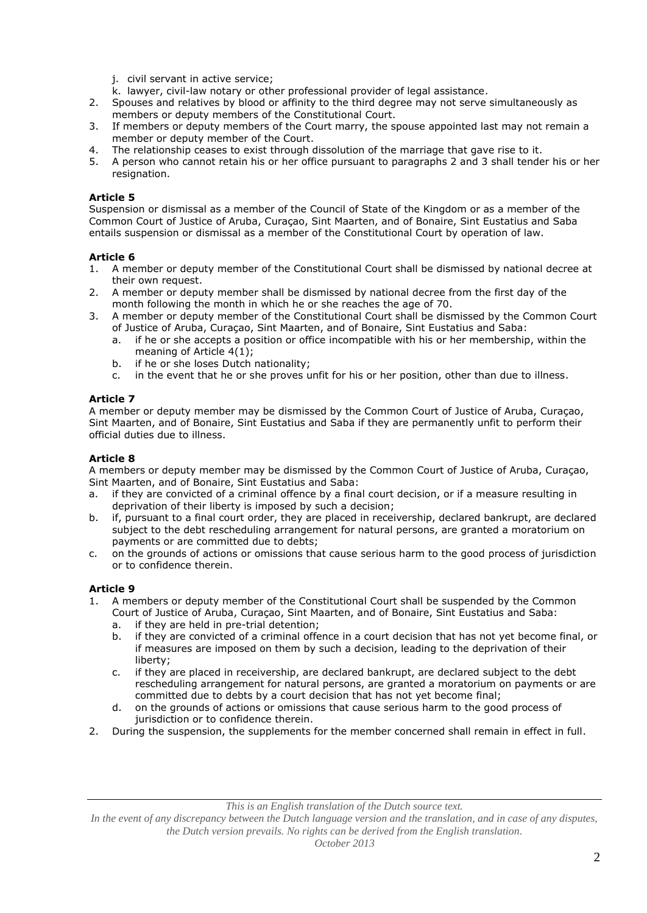- j. civil servant in active service;
- k. lawyer, civil-law notary or other professional provider of legal assistance.
- 2. Spouses and relatives by blood or affinity to the third degree may not serve simultaneously as members or deputy members of the Constitutional Court.
- 3. If members or deputy members of the Court marry, the spouse appointed last may not remain a member or deputy member of the Court.
- 4. The relationship ceases to exist through dissolution of the marriage that gave rise to it.<br>5. A person who cannot retain his or her office pursuant to paragraphs 2 and 3 shall tende
- 5. A person who cannot retain his or her office pursuant to paragraphs 2 and 3 shall tender his or her resignation.

Suspension or dismissal as a member of the Council of State of the Kingdom or as a member of the Common Court of Justice of Aruba, Curaçao, Sint Maarten, and of Bonaire, Sint Eustatius and Saba entails suspension or dismissal as a member of the Constitutional Court by operation of law.

# **Article 6**<br>1. A me

- 1. A member or deputy member of the Constitutional Court shall be dismissed by national decree at their own request.
- 2. A member or deputy member shall be dismissed by national decree from the first day of the month following the month in which he or she reaches the age of 70.
- 3. A member or deputy member of the Constitutional Court shall be dismissed by the Common Court of Justice of Aruba, Curaçao, Sint Maarten, and of Bonaire, Sint Eustatius and Saba:
	- a. if he or she accepts a position or office incompatible with his or her membership, within the meaning of Article 4(1);
	- b. if he or she loses Dutch nationality;
	- c. in the event that he or she proves unfit for his or her position, other than due to illness.

# **Article 7**

A member or deputy member may be dismissed by the Common Court of Justice of Aruba, Curaçao, Sint Maarten, and of Bonaire, Sint Eustatius and Saba if they are permanently unfit to perform their official duties due to illness.

# **Article 8**

A members or deputy member may be dismissed by the Common Court of Justice of Aruba, Curaçao, Sint Maarten, and of Bonaire, Sint Eustatius and Saba:

- a. if they are convicted of a criminal offence by a final court decision, or if a measure resulting in deprivation of their liberty is imposed by such a decision;
- b. if, pursuant to a final court order, they are placed in receivership, declared bankrupt, are declared subject to the debt rescheduling arrangement for natural persons, are granted a moratorium on payments or are committed due to debts;
- c. on the grounds of actions or omissions that cause serious harm to the good process of jurisdiction or to confidence therein.

# **Article 9**

- 1. A members or deputy member of the Constitutional Court shall be suspended by the Common Court of Justice of Aruba, Curaçao, Sint Maarten, and of Bonaire, Sint Eustatius and Saba:
	- a. if they are held in pre-trial detention;
	- b. if they are convicted of a criminal offence in a court decision that has not yet become final, or if measures are imposed on them by such a decision, leading to the deprivation of their liberty;
	- c. if they are placed in receivership, are declared bankrupt, are declared subject to the debt rescheduling arrangement for natural persons, are granted a moratorium on payments or are committed due to debts by a court decision that has not yet become final;
	- d. on the grounds of actions or omissions that cause serious harm to the good process of jurisdiction or to confidence therein.
- 2. During the suspension, the supplements for the member concerned shall remain in effect in full.

*This is an English translation of the Dutch source text.*

In the event of any discrepancy between the Dutch language version and the translation, and in case of any disputes, *the Dutch version prevails. No rights can be derived from the English translation.*

*October 2013*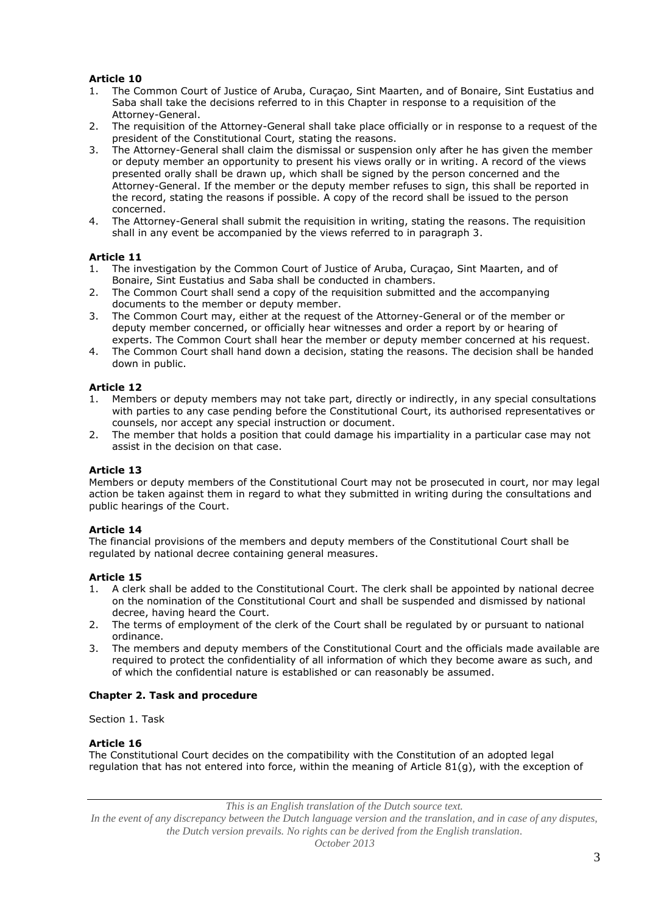- 1. The Common Court of Justice of Aruba, Curaçao, Sint Maarten, and of Bonaire, Sint Eustatius and Saba shall take the decisions referred to in this Chapter in response to a requisition of the Attorney-General.
- 2. The requisition of the Attorney-General shall take place officially or in response to a request of the president of the Constitutional Court, stating the reasons.
- 3. The Attorney-General shall claim the dismissal or suspension only after he has given the member or deputy member an opportunity to present his views orally or in writing. A record of the views presented orally shall be drawn up, which shall be signed by the person concerned and the Attorney-General. If the member or the deputy member refuses to sign, this shall be reported in the record, stating the reasons if possible. A copy of the record shall be issued to the person concerned.
- 4. The Attorney-General shall submit the requisition in writing, stating the reasons. The requisition shall in any event be accompanied by the views referred to in paragraph 3.

# **Article 11**

- 1. The investigation by the Common Court of Justice of Aruba, Curaçao, Sint Maarten, and of Bonaire, Sint Eustatius and Saba shall be conducted in chambers.
- 2. The Common Court shall send a copy of the requisition submitted and the accompanying documents to the member or deputy member.
- 3. The Common Court may, either at the request of the Attorney-General or of the member or deputy member concerned, or officially hear witnesses and order a report by or hearing of experts. The Common Court shall hear the member or deputy member concerned at his request.
- 4. The Common Court shall hand down a decision, stating the reasons. The decision shall be handed down in public.

# **Article 12**

- 1. Members or deputy members may not take part, directly or indirectly, in any special consultations with parties to any case pending before the Constitutional Court, its authorised representatives or counsels, nor accept any special instruction or document.
- 2. The member that holds a position that could damage his impartiality in a particular case may not assist in the decision on that case.

# **Article 13**

Members or deputy members of the Constitutional Court may not be prosecuted in court, nor may legal action be taken against them in regard to what they submitted in writing during the consultations and public hearings of the Court.

# **Article 14**

The financial provisions of the members and deputy members of the Constitutional Court shall be regulated by national decree containing general measures.

# **Article 15**

- 1. A clerk shall be added to the Constitutional Court. The clerk shall be appointed by national decree on the nomination of the Constitutional Court and shall be suspended and dismissed by national decree, having heard the Court.
- 2. The terms of employment of the clerk of the Court shall be regulated by or pursuant to national ordinance.
- 3. The members and deputy members of the Constitutional Court and the officials made available are required to protect the confidentiality of all information of which they become aware as such, and of which the confidential nature is established or can reasonably be assumed.

#### **Chapter 2. Task and procedure**

Section 1. Task

#### **Article 16**

The Constitutional Court decides on the compatibility with the Constitution of an adopted legal regulation that has not entered into force, within the meaning of Article 81(g), with the exception of

*This is an English translation of the Dutch source text.*

*In the event of any discrepancy between the Dutch language version and the translation, and in case of any disputes, the Dutch version prevails. No rights can be derived from the English translation.*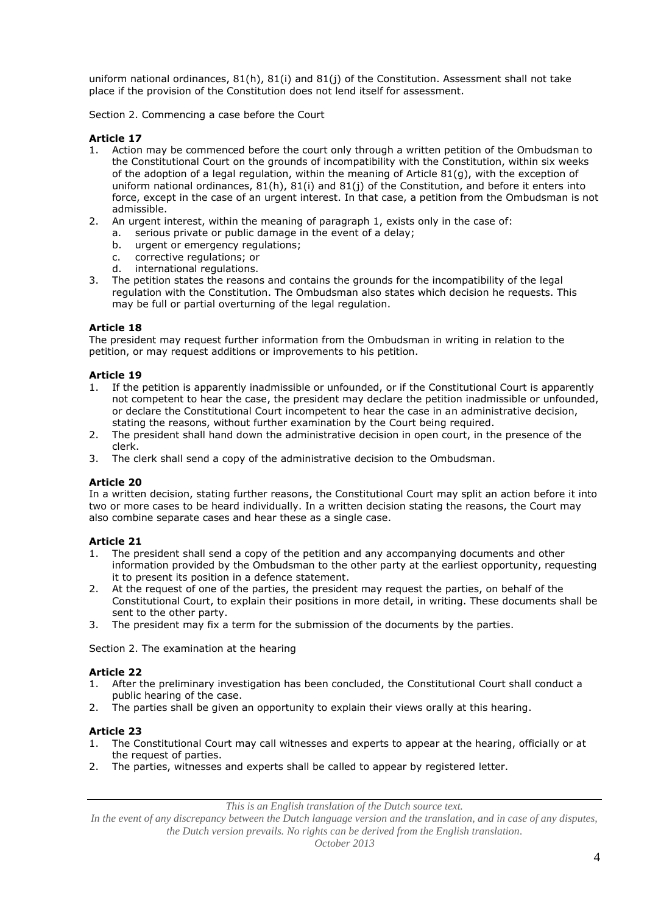uniform national ordinances, 81(h), 81(i) and 81(j) of the Constitution. Assessment shall not take place if the provision of the Constitution does not lend itself for assessment.

Section 2. Commencing a case before the Court

# **Article 17**

- 1. Action may be commenced before the court only through a written petition of the Ombudsman to the Constitutional Court on the grounds of incompatibility with the Constitution, within six weeks of the adoption of a legal regulation, within the meaning of Article 81(g), with the exception of uniform national ordinances, 81(h), 81(i) and 81(j) of the Constitution, and before it enters into force, except in the case of an urgent interest. In that case, a petition from the Ombudsman is not admissible.
- 2. An urgent interest, within the meaning of paragraph 1, exists only in the case of:
	- a. serious private or public damage in the event of a delay;
	- b. urgent or emergency regulations;
	- c. corrective regulations; or<br>d. international regulations.
	- international regulations.
- 3. The petition states the reasons and contains the grounds for the incompatibility of the legal regulation with the Constitution. The Ombudsman also states which decision he requests. This may be full or partial overturning of the legal regulation.

## **Article 18**

The president may request further information from the Ombudsman in writing in relation to the petition, or may request additions or improvements to his petition.

## **Article 19**

- 1. If the petition is apparently inadmissible or unfounded, or if the Constitutional Court is apparently not competent to hear the case, the president may declare the petition inadmissible or unfounded, or declare the Constitutional Court incompetent to hear the case in an administrative decision, stating the reasons, without further examination by the Court being required.
- 2. The president shall hand down the administrative decision in open court, in the presence of the clerk.
- 3. The clerk shall send a copy of the administrative decision to the Ombudsman.

#### **Article 20**

In a written decision, stating further reasons, the Constitutional Court may split an action before it into two or more cases to be heard individually. In a written decision stating the reasons, the Court may also combine separate cases and hear these as a single case.

# **Article 21**

- 1. The president shall send a copy of the petition and any accompanying documents and other information provided by the Ombudsman to the other party at the earliest opportunity, requesting it to present its position in a defence statement.
- 2. At the request of one of the parties, the president may request the parties, on behalf of the Constitutional Court, to explain their positions in more detail, in writing. These documents shall be sent to the other party.
- 3. The president may fix a term for the submission of the documents by the parties.

Section 2. The examination at the hearing

#### **Article 22**

- 1. After the preliminary investigation has been concluded, the Constitutional Court shall conduct a public hearing of the case.
- 2. The parties shall be given an opportunity to explain their views orally at this hearing.

# **Article 23**

- 1. The Constitutional Court may call witnesses and experts to appear at the hearing, officially or at the request of parties.
- 2. The parties, witnesses and experts shall be called to appear by registered letter.

*This is an English translation of the Dutch source text.*

*In the event of any discrepancy between the Dutch language version and the translation, and in case of any disputes, the Dutch version prevails. No rights can be derived from the English translation.*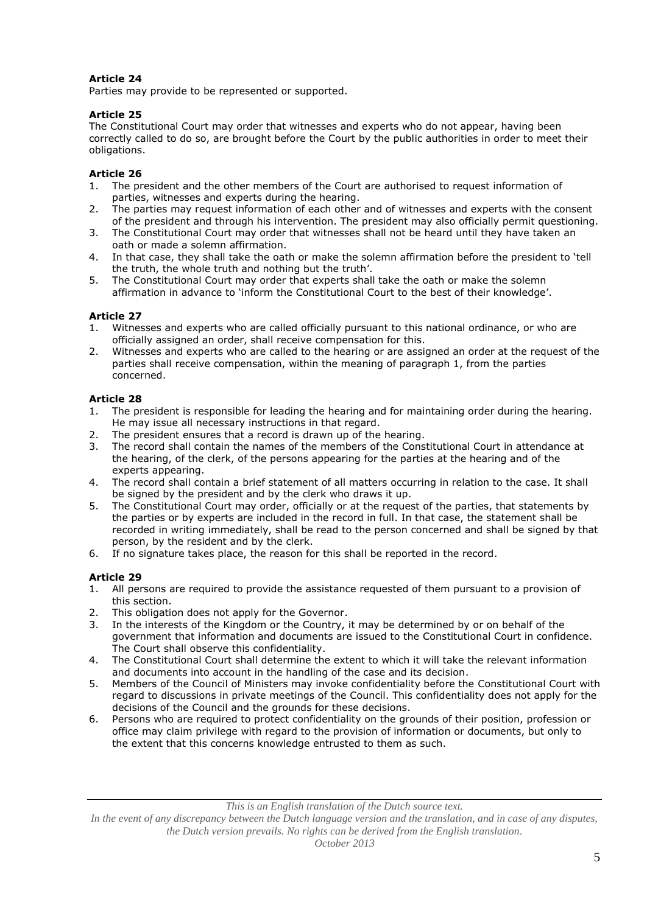Parties may provide to be represented or supported.

# **Article 25**

The Constitutional Court may order that witnesses and experts who do not appear, having been correctly called to do so, are brought before the Court by the public authorities in order to meet their obligations.

# **Article 26**

- 1. The president and the other members of the Court are authorised to request information of parties, witnesses and experts during the hearing.
- 2. The parties may request information of each other and of witnesses and experts with the consent of the president and through his intervention. The president may also officially permit questioning.
- 3. The Constitutional Court may order that witnesses shall not be heard until they have taken an oath or made a solemn affirmation.
- 4. In that case, they shall take the oath or make the solemn affirmation before the president to 'tell the truth, the whole truth and nothing but the truth'.
- 5. The Constitutional Court may order that experts shall take the oath or make the solemn affirmation in advance to 'inform the Constitutional Court to the best of their knowledge'.

# **Article 27**

- 1. Witnesses and experts who are called officially pursuant to this national ordinance, or who are officially assigned an order, shall receive compensation for this.
- 2. Witnesses and experts who are called to the hearing or are assigned an order at the request of the parties shall receive compensation, within the meaning of paragraph 1, from the parties concerned.

# **Article 28**

- 1. The president is responsible for leading the hearing and for maintaining order during the hearing. He may issue all necessary instructions in that regard.
- 2. The president ensures that a record is drawn up of the hearing.
- 3. The record shall contain the names of the members of the Constitutional Court in attendance at the hearing, of the clerk, of the persons appearing for the parties at the hearing and of the experts appearing.
- 4. The record shall contain a brief statement of all matters occurring in relation to the case. It shall be signed by the president and by the clerk who draws it up.
- 5. The Constitutional Court may order, officially or at the request of the parties, that statements by the parties or by experts are included in the record in full. In that case, the statement shall be recorded in writing immediately, shall be read to the person concerned and shall be signed by that person, by the resident and by the clerk.
- 6. If no signature takes place, the reason for this shall be reported in the record.

# **Article 29**

- 1. All persons are required to provide the assistance requested of them pursuant to a provision of this section.
- 2. This obligation does not apply for the Governor.
- 3. In the interests of the Kingdom or the Country, it may be determined by or on behalf of the government that information and documents are issued to the Constitutional Court in confidence. The Court shall observe this confidentiality.
- 4. The Constitutional Court shall determine the extent to which it will take the relevant information and documents into account in the handling of the case and its decision.
- 5. Members of the Council of Ministers may invoke confidentiality before the Constitutional Court with regard to discussions in private meetings of the Council. This confidentiality does not apply for the decisions of the Council and the grounds for these decisions.
- 6. Persons who are required to protect confidentiality on the grounds of their position, profession or office may claim privilege with regard to the provision of information or documents, but only to the extent that this concerns knowledge entrusted to them as such.

*This is an English translation of the Dutch source text.*

In the event of any discrepancy between the Dutch language version and the translation, and in case of any disputes, *the Dutch version prevails. No rights can be derived from the English translation.*

*October 2013*